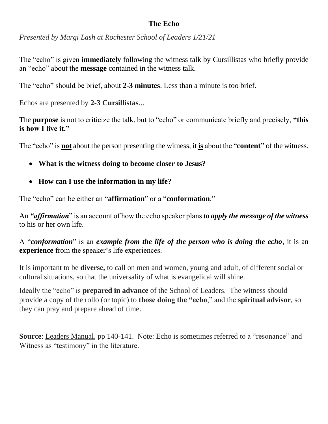## **The Echo**

*Presented by Margi Lash at Rochester School of Leaders 1/21/21*

The "echo" is given **immediately** following the witness talk by Cursillistas who briefly provide an "echo" about the **message** contained in the witness talk.

The "echo" should be brief, about **2-3 minutes**. Less than a minute is too brief.

Echos are presented by **2-3 Cursillistas**...

The **purpose** is not to criticize the talk, but to "echo" or communicate briefly and precisely, **"this is how I live it."**

The "echo" is **not** about the person presenting the witness, it **is** about the "**content"** of the witness.

- **What is the witness doing to become closer to Jesus?**
- **How can I use the information in my life?**

The "echo" can be either an "**affirmation**" or a "**conformation**."

An *"affirmation*" is an account of how the echo speaker plans *to apply the message of the witness*  to his or her own life.

A "*conformation*" is an *example from the life of the person who is doing the echo*, it is an **experience** from the speaker's life experiences.

It is important to be **diverse,** to call on men and women, young and adult, of different social or cultural situations, so that the universality of what is evangelical will shine.

Ideally the "echo" is **prepared in advance** of the School of Leaders. The witness should provide a copy of the rollo (or topic) to **those doing the "echo**," and the **spiritual advisor**, so they can pray and prepare ahead of time.

**Source**: Leaders Manual, pp 140-141. Note: Echo is sometimes referred to a "resonance" and Witness as "testimony" in the literature.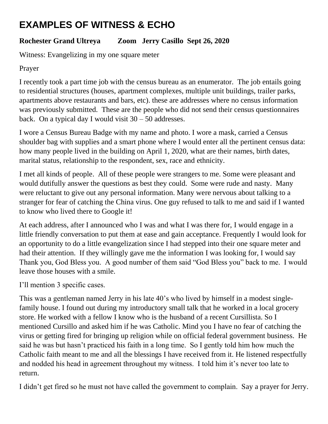# **EXAMPLES OF WITNESS & ECHO**

# **Rochester Grand Ultreya Zoom Jerry Casillo Sept 26, 2020**

Witness: Evangelizing in my one square meter

## Prayer

I recently took a part time job with the census bureau as an enumerator. The job entails going to residential structures (houses, apartment complexes, multiple unit buildings, trailer parks, apartments above restaurants and bars, etc). these are addresses where no census information was previously submitted. These are the people who did not send their census questionnaires back. On a typical day I would visit  $30 - 50$  addresses.

I wore a Census Bureau Badge with my name and photo. I wore a mask, carried a Census shoulder bag with supplies and a smart phone where I would enter all the pertinent census data: how many people lived in the building on April 1, 2020, what are their names, birth dates, marital status, relationship to the respondent, sex, race and ethnicity.

I met all kinds of people. All of these people were strangers to me. Some were pleasant and would dutifully answer the questions as best they could. Some were rude and nasty. Many were reluctant to give out any personal information. Many were nervous about talking to a stranger for fear of catching the China virus. One guy refused to talk to me and said if I wanted to know who lived there to Google it!

At each address, after I announced who I was and what I was there for, I would engage in a little friendly conversation to put them at ease and gain acceptance. Frequently I would look for an opportunity to do a little evangelization since I had stepped into their one square meter and had their attention. If they willingly gave me the information I was looking for, I would say Thank you, God Bless you. A good number of them said "God Bless you" back to me. I would leave those houses with a smile.

I'll mention 3 specific cases.

This was a gentleman named Jerry in his late 40's who lived by himself in a modest singlefamily house. I found out during my introductory small talk that he worked in a local grocery store. He worked with a fellow I know who is the husband of a recent Cursillista. So I mentioned Cursillo and asked him if he was Catholic. Mind you I have no fear of catching the virus or getting fired for bringing up religion while on official federal government business. He said he was but hasn't practiced his faith in a long time. So I gently told him how much the Catholic faith meant to me and all the blessings I have received from it. He listened respectfully and nodded his head in agreement throughout my witness. I told him it's never too late to return.

I didn't get fired so he must not have called the government to complain. Say a prayer for Jerry.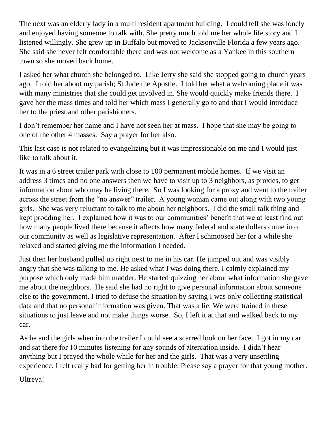The next was an elderly lady in a multi resident apartment building. I could tell she was lonely and enjoyed having someone to talk with. She pretty much told me her whole life story and I listened willingly. She grew up in Buffalo but moved to Jacksonville Florida a few years ago. She said she never felt comfortable there and was not welcome as a Yankee in this southern town so she moved back home.

I asked her what church she belonged to. Like Jerry she said she stopped going to church years ago. I told her about my parish; St Jude the Apostle. I told her what a welcoming place it was with many ministries that she could get involved in. She would quickly make friends there. I gave her the mass times and told her which mass I generally go to and that I would introduce her to the priest and other parishioners.

I don't remember her name and I have not seen her at mass. I hope that she may be going to one of the other 4 masses. Say a prayer for her also.

This last case is not related to evangelizing but it was impressionable on me and I would just like to talk about it.

It was in a 6 street trailer park with close to 100 permanent mobile homes. If we visit an address 3 times and no one answers then we have to visit up to 3 neighbors, as proxies, to get information about who may be living there. So I was looking for a proxy and went to the trailer across the street from the "no answer" trailer. A young woman came out along with two young girls. She was very reluctant to talk to me about her neighbors. I did the small talk thing and kept prodding her. I explained how it was to our communities' benefit that we at least find out how many people lived there because it affects how many federal and state dollars come into our community as well as legislative representation. After I schmoosed her for a while she relaxed and started giving me the information I needed.

Just then her husband pulled up right next to me in his car. He jumped out and was visibly angry that she was talking to me. He asked what I was doing there. I calmly explained my purpose which only made him madder. He started quizzing her about what information she gave me about the neighbors. He said she had no right to give personal information about someone else to the government. I tried to defuse the situation by saying I was only collecting statistical data and that no personal information was given. That was a lie. We were trained in these situations to just leave and not make things worse. So, I left it at that and walked back to my car.

As he and the girls when into the trailer I could see a scarred look on her face. I got in my car and sat there for 10 minutes listening for any sounds of altercation inside. I didn't hear anything but I prayed the whole while for her and the girls. That was a very unsettling experience. I felt really bad for getting her in trouble. Please say a prayer for that young mother.

Ultreya!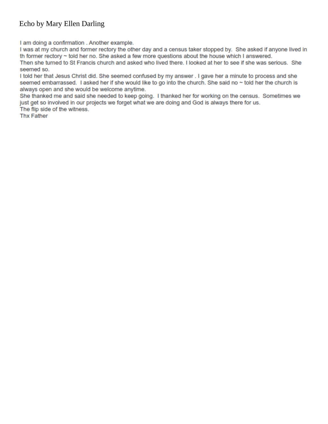## Echo by Mary Ellen Darling

I am doing a confirmation . Another example.

I was at my church and former rectory the other day and a census taker stopped by. She asked if anyone lived in th former rectory ~ told her no. She asked a few more questions about the house which I answered.

Then she turned to St Francis church and asked who lived there. I looked at her to see if she was serious. She seemed so.

I told her that Jesus Christ did. She seemed confused by my answer. I gave her a minute to process and she seemed embarrassed. I asked her if she would like to go into the church. She said no ~ told her the church is always open and she would be welcome anytime.

She thanked me and said she needed to keep going. I thanked her for working on the census. Sometimes we just get so involved in our projects we forget what we are doing and God is always there for us.

The flip side of the witness.

**Thx Father**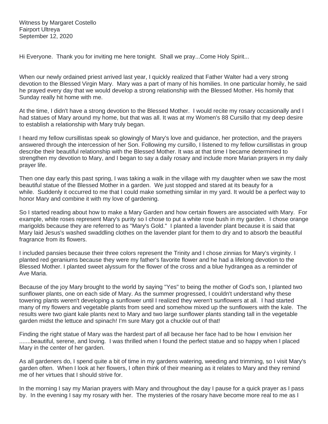Witness by Margaret Costello Fairport Ultreya September 12, 2020

Hi Everyone. Thank you for inviting me here tonight. Shall we pray...Come Holy Spirit...

When our newly ordained priest arrived last year, I quickly realized that Father Walter had a very strong devotion to the Blessed Virgin Mary. Mary was a part of many of his homilies. In one particular homily, he said he prayed every day that we would develop a strong relationship with the Blessed Mother. His homily that Sunday really hit home with me.

At the time, I didn't have a strong devotion to the Blessed Mother. I would recite my rosary occasionally and I had statues of Mary around my home, but that was all. It was at my Women's 88 Cursillo that my deep desire to establish a relationship with Mary truly began.

I heard my fellow cursillistas speak so glowingly of Mary's love and guidance, her protection, and the prayers answered through the intercession of her Son. Following my cursillo, I listened to my fellow cursillistas in group describe their beautiful relationship with the Blessed Mother. It was at that time I became determined to strengthen my devotion to Mary, and I began to say a daily rosary and include more Marian prayers in my daily prayer life.

Then one day early this past spring, I was taking a walk in the village with my daughter when we saw the most beautiful statue of the Blessed Mother in a garden. We just stopped and stared at its beauty for a while. Suddenly it occurred to me that I could make something similar in my yard. It would be a perfect way to honor Mary and combine it with my love of gardening.

So I started reading about how to make a Mary Garden and how certain flowers are associated with Mary. For example, white roses represent Mary's purity so I chose to put a white rose bush in my garden. I chose orange marigolds because they are referred to as "Mary's Gold." I planted a lavender plant because it is said that Mary laid Jesus's washed swaddling clothes on the lavender plant for them to dry and to absorb the beautiful fragrance from its flowers.

I included pansies because their three colors represent the Trinity and I chose zinnias for Mary's virginity. I planted red geraniums because they were my father's favorite flower and he had a lifelong devotion to the Blessed Mother. I planted sweet alyssum for the flower of the cross and a blue hydrangea as a reminder of Ave Maria.

Because of the joy Mary brought to the world by saying "Yes" to being the mother of God's son, I planted two sunflower plants, one on each side of Mary. As the summer progressed, I couldn't understand why these towering plants weren't developing a sunflower until I realized they weren't sunflowers at all. I had started many of my flowers and vegetable plants from seed and somehow mixed up the sunflowers with the kale. The results were two giant kale plants next to Mary and two large sunflower plants standing tall in the vegetable garden midst the lettuce and spinach! I'm sure Mary got a chuckle out of that!

Finding the right statue of Mary was the hardest part of all because her face had to be how I envision her .......beautiful, serene, and loving. I was thrilled when I found the perfect statue and so happy when I placed Mary in the center of her garden.

As all gardeners do, I spend quite a bit of time in my gardens watering, weeding and trimming, so I visit Mary's garden often. When I look at her flowers, I often think of their meaning as it relates to Mary and they remind me of her virtues that I should strive for.

In the morning I say my Marian prayers with Mary and throughout the day I pause for a quick prayer as I pass by. In the evening I say my rosary with her. The mysteries of the rosary have become more real to me as I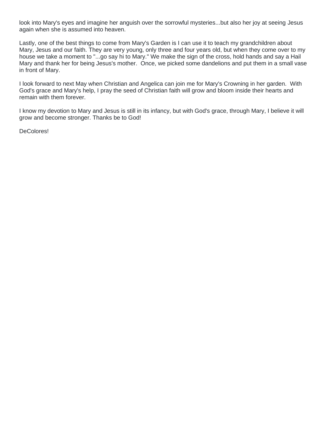look into Mary's eyes and imagine her anguish over the sorrowful mysteries...but also her joy at seeing Jesus again when she is assumed into heaven.

Lastly, one of the best things to come from Mary's Garden is I can use it to teach my grandchildren about Mary, Jesus and our faith. They are very young, only three and four years old, but when they come over to my house we take a moment to "...go say hi to Mary." We make the sign of the cross, hold hands and say a Hail Mary and thank her for being Jesus's mother. Once, we picked some dandelions and put them in a small vase in front of Mary.

I look forward to next May when Christian and Angelica can join me for Mary's Crowning in her garden. With God's grace and Mary's help, I pray the seed of Christian faith will grow and bloom inside their hearts and remain with them forever.

I know my devotion to Mary and Jesus is still in its infancy, but with God's grace, through Mary, I believe it will grow and become stronger. Thanks be to God!

DeColores!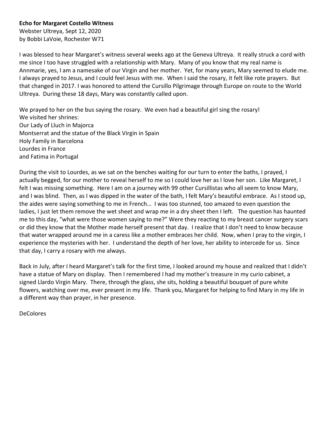#### **Echo for Margaret Costello Witness**

Webster Ultreya, Sept 12, 2020 by Bobbi LaVoie, Rochester W71

I was blessed to hear Margaret's witness several weeks ago at the Geneva Ultreya. It really struck a cord with me since I too have struggled with a relationship with Mary. Many of you know that my real name is Annmarie, yes, I am a namesake of our Virgin and her mother. Yet, for many years, Mary seemed to elude me. I always prayed to Jesus, and I could feel Jesus with me. When I said the rosary, it felt like rote prayers. But that changed in 2017. I was honored to attend the Cursillo Pilgrimage through Europe on route to the World Ultreya. During these 18 days, Mary was constantly called upon.

We prayed to her on the bus saying the rosary. We even had a beautiful girl sing the rosary! We visited her shrines: Our Lady of Lluch in Majorca Montserrat and the statue of the Black Virgin in Spain Holy Family in Barcelona Lourdes in France and Fatima in Portugal

During the visit to Lourdes, as we sat on the benches waiting for our turn to enter the baths, I prayed, I actually begged, for our mother to reveal herself to me so I could love her as I love her son. Like Margaret, I felt I was missing something. Here I am on a journey with 99 other Cursillistas who all seem to know Mary, and I was blind. Then, as I was dipped in the water of the bath, I felt Mary's beautiful embrace. As I stood up, the aides were saying something to me in French… I was too stunned, too amazed to even question the ladies, I just let them remove the wet sheet and wrap me in a dry sheet then I left. The question has haunted me to this day, "what were those women saying to me?" Were they reacting to my breast cancer surgery scars or did they know that the Mother made herself present that day. I realize that I don't need to know because that water wrapped around me in a caress like a mother embraces her child. Now, when I pray to the virgin, I experience the mysteries with her. I understand the depth of her love, her ability to intercede for us. Since that day, I carry a rosary with me always.

Back in July, after I heard Margaret's talk for the first time, I looked around my house and realized that I didn't have a statue of Mary on display. Then I remembered I had my mother's treasure in my curio cabinet, a signed Llardo Virgin Mary. There, through the glass, she sits, holding a beautiful bouquet of pure white flowers, watching over me, ever present in my life. Thank you, Margaret for helping to find Mary in my life in a different way than prayer, in her presence.

DeColores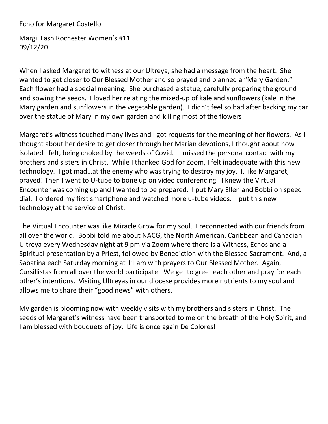## Echo for Margaret Costello

Margi Lash Rochester Women's #11 09/12/20

When I asked Margaret to witness at our Ultreya, she had a message from the heart. She wanted to get closer to Our Blessed Mother and so prayed and planned a "Mary Garden." Each flower had a special meaning. She purchased a statue, carefully preparing the ground and sowing the seeds. I loved her relating the mixed-up of kale and sunflowers (kale in the Mary garden and sunflowers in the vegetable garden). I didn't feel so bad after backing my car over the statue of Mary in my own garden and killing most of the flowers!

Margaret's witness touched many lives and I got requests for the meaning of her flowers. As I thought about her desire to get closer through her Marian devotions, I thought about how isolated I felt, being choked by the weeds of Covid. I missed the personal contact with my brothers and sisters in Christ. While I thanked God for Zoom, I felt inadequate with this new technology. I got mad…at the enemy who was trying to destroy my joy. I, like Margaret, prayed! Then I went to U-tube to bone up on video conferencing. I knew the Virtual Encounter was coming up and I wanted to be prepared. I put Mary Ellen and Bobbi on speed dial. I ordered my first smartphone and watched more u-tube videos. I put this new technology at the service of Christ.

The Virtual Encounter was like Miracle Grow for my soul. I reconnected with our friends from all over the world. Bobbi told me about NACG, the North American, Caribbean and Canadian Ultreya every Wednesday night at 9 pm via Zoom where there is a Witness, Echos and a Spiritual presentation by a Priest, followed by Benediction with the Blessed Sacrament. And, a Sabatina each Saturday morning at 11 am with prayers to Our Blessed Mother. Again, Cursillistas from all over the world participate. We get to greet each other and pray for each other's intentions. Visiting Ultreyas in our diocese provides more nutrients to my soul and allows me to share their "good news" with others.

My garden is blooming now with weekly visits with my brothers and sisters in Christ. The seeds of Margaret's witness have been transported to me on the breath of the Holy Spirit, and I am blessed with bouquets of joy. Life is once again De Colores!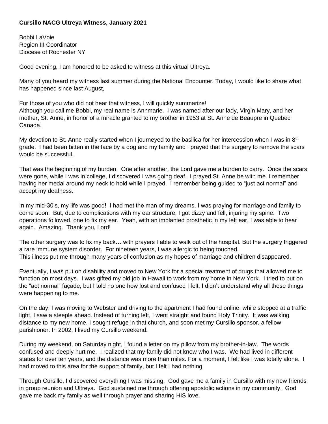#### **Cursillo NACG Ultreya Witness, January 2021**

Bobbi LaVoie Region III Coordinator Diocese of Rochester NY

Good evening, I am honored to be asked to witness at this virtual Ultreya.

Many of you heard my witness last summer during the National Encounter. Today, I would like to share what has happened since last August,

For those of you who did not hear that witness, I will quickly summarize! Although you call me Bobbi, my real name is Annmarie. I was named after our lady, Virgin Mary, and her mother, St. Anne, in honor of a miracle granted to my brother in 1953 at St. Anne de Beaupre in Quebec Canada.

My devotion to St. Anne really started when I journeyed to the basilica for her intercession when I was in  $8<sup>th</sup>$ grade. I had been bitten in the face by a dog and my family and I prayed that the surgery to remove the scars would be successful.

That was the beginning of my burden. One after another, the Lord gave me a burden to carry. Once the scars were gone, while I was in college, I discovered I was going deaf. I prayed St. Anne be with me. I remember having her medal around my neck to hold while I prayed. I remember being guided to "just act normal" and accept my deafness.

In my mid-30's, my life was good! I had met the man of my dreams. I was praying for marriage and family to come soon. But, due to complications with my ear structure, I got dizzy and fell, injuring my spine. Two operations followed, one to fix my ear. Yeah, with an implanted prosthetic in my left ear, I was able to hear again. Amazing. Thank you, Lord!

The other surgery was to fix my back… with prayers I able to walk out of the hospital. But the surgery triggered a rare immune system disorder. For nineteen years, I was allergic to being touched. This illness put me through many years of confusion as my hopes of marriage and children disappeared.

Eventually, I was put on disability and moved to New York for a special treatment of drugs that allowed me to function on most days. I was gifted my old job in Hawaii to work from my home in New York. I tried to put on the "act normal" façade, but I told no one how lost and confused I felt. I didn't understand why all these things were happening to me.

On the day, I was moving to Webster and driving to the apartment I had found online, while stopped at a traffic light, I saw a steeple ahead. Instead of turning left, I went straight and found Holy Trinity. It was walking distance to my new home. I sought refuge in that church, and soon met my Cursillo sponsor, a fellow parishioner. In 2002, I lived my Cursillo weekend.

During my weekend, on Saturday night, I found a letter on my pillow from my brother-in-law. The words confused and deeply hurt me. I realized that my family did not know who I was. We had lived in different states for over ten years, and the distance was more than miles. For a moment, I felt like I was totally alone. I had moved to this area for the support of family, but I felt I had nothing.

Through Cursillo, I discovered everything I was missing. God gave me a family in Cursillo with my new friends in group reunion and Ultreya. God sustained me through offering apostolic actions in my community. God gave me back my family as well through prayer and sharing HIS love.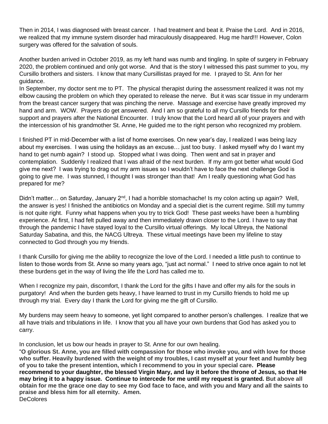Then in 2014, I was diagnosed with breast cancer. I had treatment and beat it. Praise the Lord. And in 2016, we realized that my immune system disorder had miraculously disappeared. Hug me hard!!! However, Colon surgery was offered for the salvation of souls.

Another burden arrived in October 2019, as my left hand was numb and tingling. In spite of surgery in February 2020, the problem continued and only got worse. And that is the story I witnessed this past summer to you, my Cursillo brothers and sisters. I know that many Cursillistas prayed for me. I prayed to St. Ann for her guidance.

In September, my doctor sent me to PT. The physical therapist during the assessment realized it was not my elbow causing the problem on which they operated to release the nerve. But it was scar tissue in my underarm from the breast cancer surgery that was pinching the nerve. Massage and exercise have greatly improved my hand and arm. WOW. Prayers do get answered. And I am so grateful to all my Cursillo friends for their support and prayers after the National Encounter. I truly know that the Lord heard all of your prayers and with the intercession of his grandmother St. Anne, He guided me to the right person who recognized my problem.

I finished PT in mid-December with a list of home exercises. On new year's day, I realized I was being lazy about my exercises. I was using the holidays as an excuse… just too busy. I asked myself why do I want my hand to get numb again? I stood up. Stopped what I was doing. Then went and sat in prayer and contemplation. Suddenly I realized that I was afraid of the next burden. If my arm got better what would God give me next? I was trying to drag out my arm issues so I wouldn't have to face the next challenge God is going to give me. I was stunned, I thought I was stronger than that! Am I really questioning what God has prepared for me?

Didn't matter... on Saturday, January  $2^{nd}$ , I had a horrible stomachache! Is my colon acting up again? Well, the answer is yes! I finished the antibiotics on Monday and a special diet is the current regime. Still my tummy is not quite right. Funny what happens when you try to trick God! These past weeks have been a humbling experience. At first, I had felt pulled away and then immediately drawn closer to the Lord. I have to say that through the pandemic I have stayed loyal to the Cursillo virtual offerings. My local Ultreya, the National Saturday Sabatina, and this, the NACG Ultreya. These virtual meetings have been my lifeline to stay connected to God through you my friends.

I thank Cursillo for giving me the ability to recognize the love of the Lord. I needed a little push to continue to listen to those words from St. Anne so many years ago, "just act normal." I need to strive once again to not let these burdens get in the way of living the life the Lord has called me to.

When I recognize my pain, discomfort, I thank the Lord for the gifts I have and offer my ails for the souls in purgatory! And when the burden gets heavy, I have learned to trust in my Cursillo friends to hold me up through my trial. Every day I thank the Lord for giving me the gift of Cursillo.

My burdens may seem heavy to someone, yet light compared to another person's challenges. I realize that we all have trials and tribulations in life. I know that you all have your own burdens that God has asked you to carry.

In conclusion, let us bow our heads in prayer to St. Anne for our own healing.

"**O glorious St. Anne, you are filled with compassion for those who invoke you, and with love for those who suffer. Heavily burdened with the weight of my troubles, I cast myself at your feet and humbly beg of you to take the present intention, which I recommend to you in your special care. Please recommend to your daughter, the blessed Virgin Mary, and lay it before the throne of Jesus, so that He may bring it to a happy issue. Continue to intercede for me until my request is granted. But above all obtain for me the grace one day to see my God face to face, and with you and Mary and all the saints to praise and bless him for all eternity. Amen.** DeColores